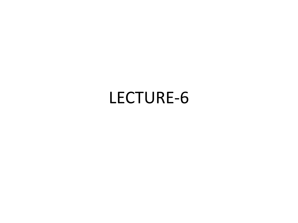## LECTURE-6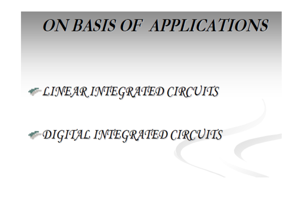### **ON BASIS OF APPLICATIONS**

#### - LINEAR INTEGRATED CIRCUITS

#### - DIGITAL INTEGRATED CIRCUITS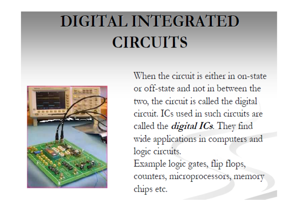## DIGITAL INTEGRATED **CIRCUITS**



When the circuit is either in on-state or off-state and not in between the two, the circuit is called the digital circuit. ICs used in such circuits are called the *digital ICs*. They find wide applications in computers and logic circuits. Example logic gates, flip flops, counters, microprocessors, memory chips etc.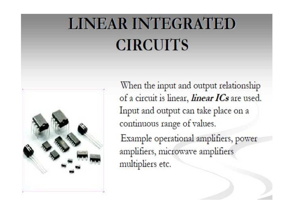# **LINEAR INTEGRATED CIRCUITS**



When the input and output relationship of a circuit is linear, linear ICs are used. Input and output can take place on a continuous range of values. Example operational amplifiers, power amplifiers, microwave amplifiers multipliers etc.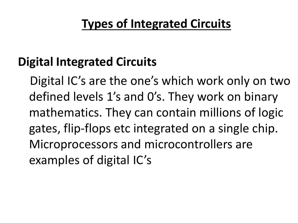#### **Types of Integrated Circuits**

#### **Digital Integrated Circuits**

Digital IC's are the one's which work only on two defined levels 1's and 0's. They work on binary mathematics. They can contain millions of logic gates, flip-flops etc integrated on a single chip. Microprocessors and microcontrollers are examples of digital IC's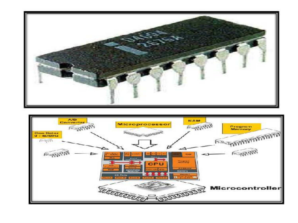

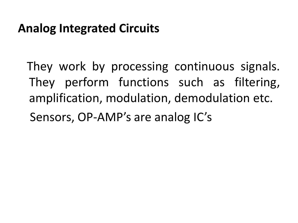#### **Analog Integrated Circuits**

They work by processing continuous signals. They perform functions such as filtering, amplification, modulation, demodulation etc.

Sensors, OP-AMP's are analog IC's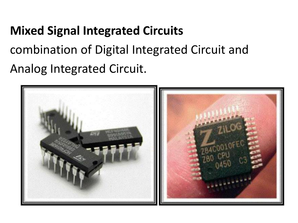### **Mixed Signal Integrated Circuits**

combination of Digital Integrated Circuit and

Analog Integrated Circuit.

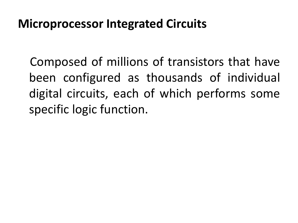#### **Microprocessor Integrated Circuits**

Composed of millions of transistors that have been configured as thousands of individual digital circuits, each of which performs some specific logic function.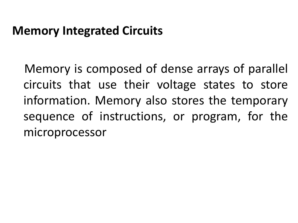#### **Memory Integrated Circuits**

Memory is composed of dense arrays of parallel circuits that use their voltage states to store information. Memory also stores the temporary sequence of instructions, or program, for the microprocessor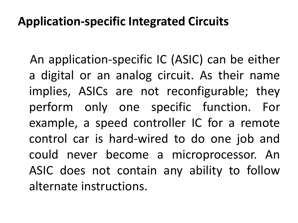#### **Application-specific Integrated Circuits**

An application-specific IC (ASIC) can be either a digital or an analog circuit. As their name implies, ASICs are not reconfigurable; they perform only one specific function. For example, a speed controller IC for a remote control car is hard-wired to do one job and could never become a microprocessor. An ASIC does not contain any ability to follow alternate instructions.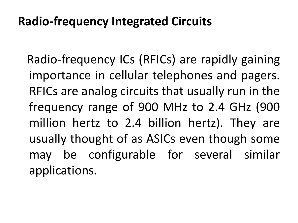#### **Radio-frequency Integrated Circuits**

Radio-frequency ICs (RFICs) are rapidly gaining importance in cellular telephones and pagers. RFICs are analog circuits that usually run in the frequency range of 900 MHz to 2.4 GHz (900 million hertz to 2.4 billion hertz). They are usually thought of as ASICs even though some may be configurable for several similar applications.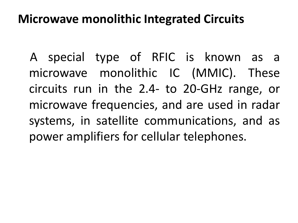#### **Microwave monolithic Integrated Circuits**

A special type of RFIC is known as a microwave monolithic IC (MMIC). These circuits run in the 2.4- to 20-GHz range, or microwave frequencies, and are used in radar systems, in satellite communications, and as power amplifiers for cellular telephones.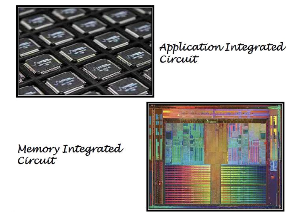

# Application Integrated<br>Circuit

#### Memory Integrated Circuit

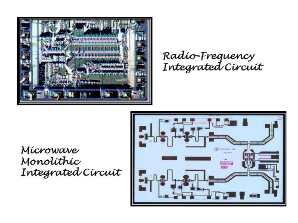

# Radio-Frequency<br>Integrated Círcuít

Microwave Monolíthíc Integrated Circuit